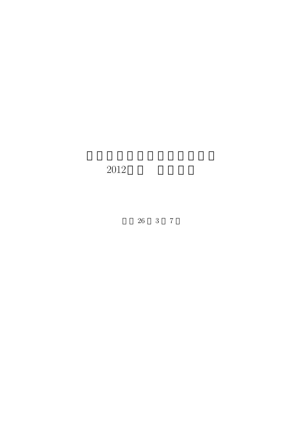$2012$ 

平成 26 3 7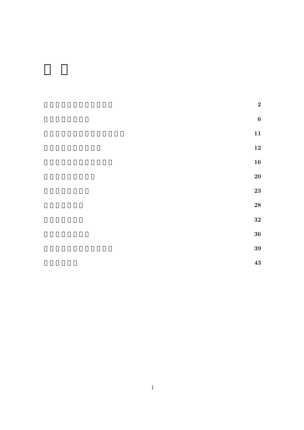| $\overline{\mathbf{c}}$ |
|-------------------------|
| $\overline{6}$          |
| 11                      |
| 12                      |
| 16                      |
| 20                      |
| 23                      |
| 28                      |
| 32                      |
| 36                      |
|                         |

一般相対論・宇宙論研究室 **39**

**2**

**6**

1

宇宙論研究室 **43**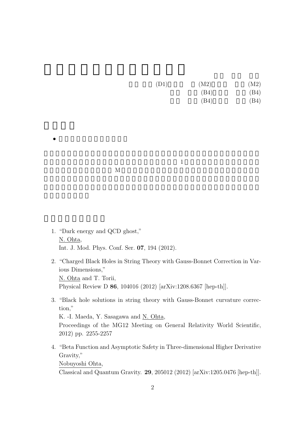| (D1) | (M2) | (M2) |
|------|------|------|
|      | (B4) | (B4) |
|      | (B4) | (B4) |

 $M$ 

• **•**  $\bullet$ 

- 1. "Dark energy and QCD ghost," N. Ohta, Int. J. Mod. Phys. Conf. Ser. **07**, 194 (2012).
- 2. "Charged Black Holes in String Theory with Gauss-Bonnet Correction in Various Dimensions," N. Ohta and T. Torii, Physical Review D **86**, 104016 (2012) [arXiv:1208.6367 [hep-th]].

 $-1$ 

- 3. "Black hole solutions in string theory with Gauss-Bonnet curvature correction," K. -I. Maeda, Y. Sasagawa and N. Ohta, Proceedings of the MG12 Meeting on General Relativity World Scientific, 2012) pp. 2255-2257
- 4. "Beta Function and Asymptotic Safety in Three-dimensional Higher Derivative Gravity,"

Nobuyoshi Ohta,

Classical and Quantum Gravity. **29**, 205012 (2012) [arXiv:1205.0476 [hep-th]].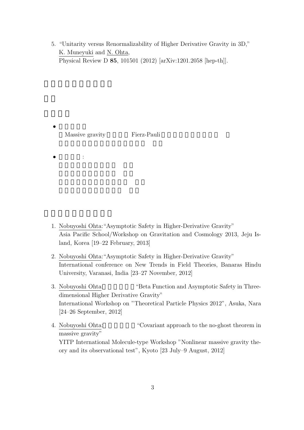5. "Unitarity versus Renormalizability of Higher Derivative Gravity in 3D," K. Muneyuki and N. Ohta, Physical Review D **85**, 101501 (2012) [arXiv:1201.2058 [hep-th]].

*•* 修士論文: Massive gravity Fierz-Pauli

*•* 学士論文:

- 1. Nobuyoshi Ohta:"Asymptotic Safety in Higher-Derivative Gravity" Asia Pacific School/Workshop on Gravitation and Cosmology 2013, Jeju Island, Korea [19–22 February, 2013]
- 2. Nobuyoshi Ohta:"Asymptotic Safety in Higher-Derivative Gravity" International conference on New Trends in Field Theories, Banaras Hindu University, Varanasi, India [23–27 November, 2012]
- 3. Nobuyoshi Ohta: "Beta Function and Asymptotic Safety in Threedimensional Higher Derivative Gravity" International Workshop on "Theoretical Particle Physics 2012", Asuka, Nara [24–26 September, 2012]
- 4. Nobuyoshi Ohta: "Covariant approach to the no-ghost theorem in massive gravity" YITP International Molecule-type Workshop "Nonlinear massive gravity theory and its observational test", Kyoto [23 July–9 August, 2012]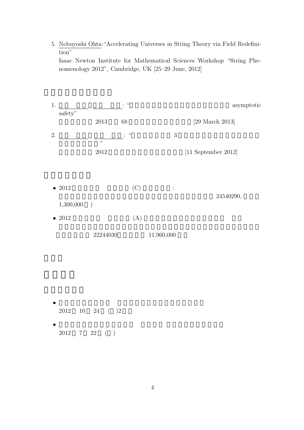5. Nobuyoshi Ohta:"Accelerating Universes in String Theory via Field Redefinition"

Isaac Newton Institute for Mathematical Sciences Workshop "String Phenomenology 2012", Cambridge, UK [25–29 June, 2012]

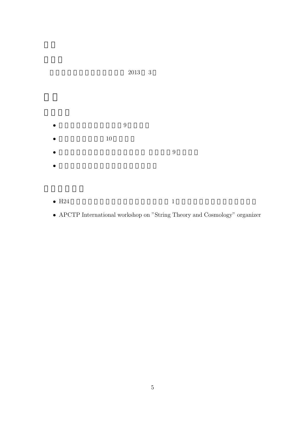

教員試験対策春期集中講座: 2013 3

5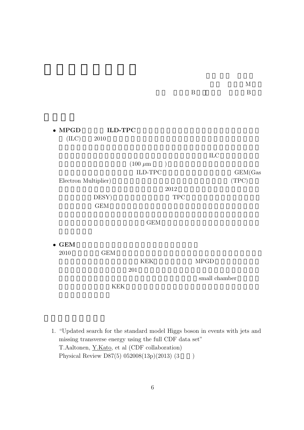$M$  $\overline{B}$  and  $\overline{B}$ 



1. "Updated search for the standard model Higgs boson in events with jets and missing transverse energy using the full CDF data set" T.Aaltonen, Y.Kato, et al (CDF collaboration) Physical Review D87(5)  $052008(13p)(2013)$  (3 )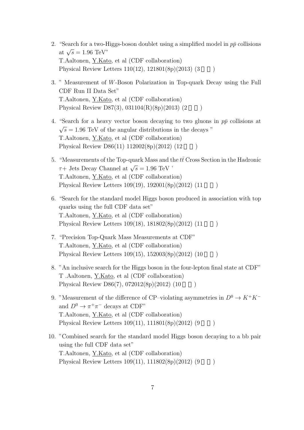- 2. "Search for a two-Higgs-boson doublet using a simplified model in  $p\bar{p}$  collisions at  $\sqrt{s} = 1.96 \text{ TeV}$ " T.Aaltonen, Y.Kato, et al (CDF collaboration) Physical Review Letters  $110(12)$ ,  $121801(8p)(2013)$  (3)
- 3. " Measurement of *W*-Boson Polarization in Top-quark Decay using the Full CDF Run II Data Set" T.Aaltonen, Y.Kato, et al (CDF collaboration) Physical Review D87(3),  $031104(R)(8p)(2013)$  (2 )
- 4. "Search for a heavy vector boson decaying to two gluons in  $p\bar{p}$  collisions at  $\sqrt{s} = 1.96$  TeV of the angular distributions in the decays " T.Aaltonen, Y.Kato, et al (CDF collaboration) Physical Review D86(11)  $112002(8p)(2012)$  (12 )
- 5. "Measurements of the Top-quark Mass and the  $t\bar{t}$  Cross Section in the Hadronic *τ*+ Jets Decay Channel at  $\sqrt{s} = 1.96$  TeV ' T.Aaltonen, Y.Kato, et al (CDF collaboration) Physical Review Letters 109(19),  $192001(8p)(2012)$  (11 )
- 6. "Search for the standard model Higgs boson produced in association with top quarks using the full CDF data set" T.Aaltonen, Y.Kato, et al (CDF collaboration) Physical Review Letters 109(18),  $181802(8p)(2012)$  (11 )
- 7. "Precision Top-Quark Mass Measurements at CDF" T.Aaltonen, Y.Kato, et al (CDF collaboration) Physical Review Letters 109(15),  $152003(8p)(2012)$  (10 )
- 8. "An inclusive search for the Higgs boson in the four-lepton final state at CDF" T .Aaltonen, Y.Kato, et al (CDF collaboration) Physical Review D86(7),  $072012(8p)(2012)$  (10)
- 9. "Measurement of the difference of CP–violating asymmetries in  $D^0 \to K^+K^$ and  $D^0 \to \pi^+\pi^-$  decays at CDF" T.Aaltonen, Y.Kato, et al (CDF collaboration) Physical Review Letters  $109(11)$ ,  $111801(8p)(2012)$  (9)
- 10. "Combined search for the standard model Higgs boson decaying to a bb pair using the full CDF data set" T.Aaltonen, Y.Kato, et al (CDF collaboration) Physical Review Letters  $109(11)$ ,  $111802(8p)(2012)$  (9)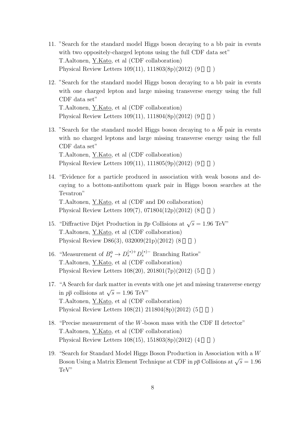- 11. "Search for the standard model Higgs boson decaying to a bb pair in events with two oppositely-charged leptons using the full CDF data set" T.Aaltonen, Y.Kato, et al (CDF collaboration) Physical Review Letters  $109(11)$ ,  $111803(8p)(2012)$  (9)
- 12. "Search for the standard model Higgs boson decaying to a bb pair in events with one charged lepton and large missing transverse energy using the full CDF data set" T.Aaltonen, Y.Kato, et al (CDF collaboration) Physical Review Letters  $109(11)$ ,  $111804(8p)(2012)$  (9)
- 13. "Search for the standard model Higgs boson decaying to a  $b\bar{b}$  pair in events with no charged leptons and large missing transverse energy using the full CDF data set" T.Aaltonen, Y.Kato, et al (CDF collaboration) Physical Review Letters  $109(11)$ ,  $111805(9p)(2012)$  (9)
- 14. "Evidence for a particle produced in association with weak bosons and decaying to a bottom-antibottom quark pair in Higgs boson searches at the Tevatron" T.Aaltonen, Y.Kato, et al (CDF and D0 collaboration) Physical Review Letters  $109(7)$ ,  $071804(12p)(2012)$   $(8)$
- 15. "Diffractive Dijet Production in  $\bar{p}p$  Collisions at  $\sqrt{s} = 1.96 \text{ TeV}$ " T.Aaltonen, Y.Kato, et al (CDF collaboration) Physical Review D86(3),  $032009(21p)(2012)$  (8)
- 16. "Measurement of  $B_s^0 \to D_s^{(*)+} D_s^{(*)-}$  Branching Ratios" T.Aaltonen, Y.Kato, et al (CDF collaboration) Physical Review Letters  $108(20)$ ,  $201801(7p)(2012)$  (5)
- 17. "A Search for dark matter in events with one jet and missing transverse energy in  $p\bar{p}$  collisions at  $\sqrt{s} = 1.96$  TeV" T.Aaltonen, Y.Kato, et al (CDF collaboration) Physical Review Letters  $108(21)$   $211804(8p)(2012)$  (5)
- 18. "Precise measurement of the *W*-boson mass with the CDF II detector" T.Aaltonen, Y.Kato, et al (CDF collaboration) Physical Review Letters  $108(15)$ ,  $151803(8p)(2012)$   $(4)$
- 19. "Search for Standard Model Higgs Boson Production in Association with a *W* Boson Using a Matrix Element Technique at CDF in  $p\bar{p}$  Collisions at  $\sqrt{s} = 1.96$ TeV"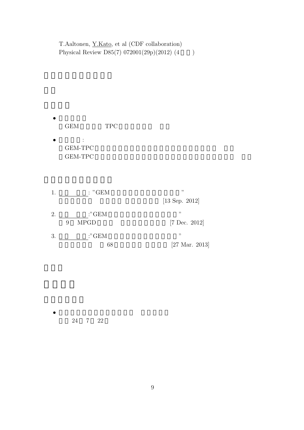T.Aaltonen, Y.Kato, et al (CDF collaboration) Physical Review D85(7)  $072001(29p)(2012)$  (4)

- *•* 修士論文: GEM TPC
- *•* 学士論文: GEM-TPC  $\operatorname{GEM-TPC}$



*•* 近畿大学オープンキャンパス 研究室開放 平成 24 7 22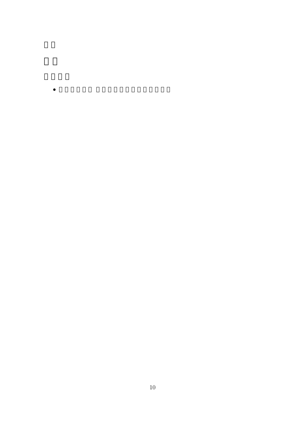•<br>• March 2000 March 2000 March 2000 March 2000 March 2000 March 2000 March 2000 March 2000 March 2000 March 200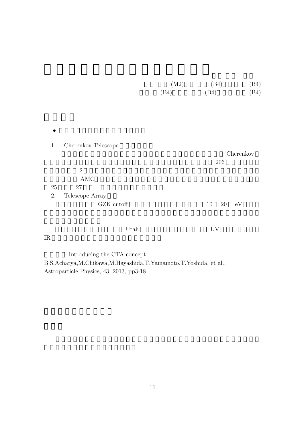|    |                      | (M2) | (B4)     | (B4)      |
|----|----------------------|------|----------|-----------|
|    |                      | (B4) | (B4)     | (B4)      |
|    |                      |      |          |           |
|    |                      |      |          |           |
|    |                      |      |          |           |
|    |                      |      |          |           |
|    |                      |      |          |           |
| 1. | Cherenkov Telescope  |      |          |           |
|    |                      |      | 206      | Cherenkov |
|    | $\overline{2}$       |      |          |           |
|    | $\operatorname{AMC}$ |      |          |           |
| 25 | 27                   |      |          |           |
| 2. | Telescope Array      |      |          |           |
|    | GZK cutoff           |      | 10<br>20 | eV        |
|    |                      |      |          |           |
|    |                      |      |          |           |
|    | Utah                 |      | UV       |           |

IR  $\blacksquare$ 

Introducing the CTA concept B.S.Acharya,M.Chikawa,M.Hayashida,T.Yamamoto,T.Yoshida, et al., Astroparticle Physics, 43, 2013, pp3-18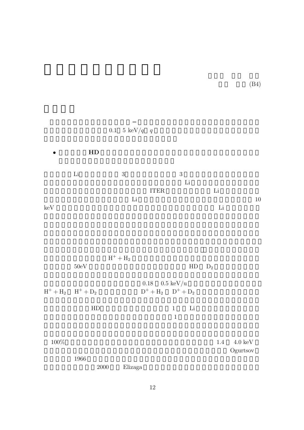$(B4)$ 

 $0.1\quad 5 \text{ keV}/q \quad q$ 

• **HD**  $\bullet$  $\rm Li$  3 3  $Li$ the second in the second in the second second in the second second in the second second in the second second second in the second second second second second second second second second second second second second second s  $Li$  and  $10$ keV  $1$ 

するとして着目される。H  $\rm H^+ + H_2$  $50\text{eV}$  HD  $D_2$ 

0.18 0.5 keV/u  $H^+ + H_2$   $H^+ + D_2$  D  $^+ + H_2$   $D^+ + D_2$ き続き、軽水素、HD、重水素の各分子に対して 1 価の Li イオンとの衝突における  $\mathbf 1$ 

 $100\%$   $1.4$   $1.4$   $4.0$   $\rm{keV}$ Ogurtsov  $1966$ 2000 Elizaga <sub>elizaga</sub> serikalan keratanan mengantukan keratanan mengantukan keratanan *alam* sebanjang mengantukan dan mengantukan dan mengantukan dalam keratanan dan mengantukan dalam keratanan dan mengantukan dalam kera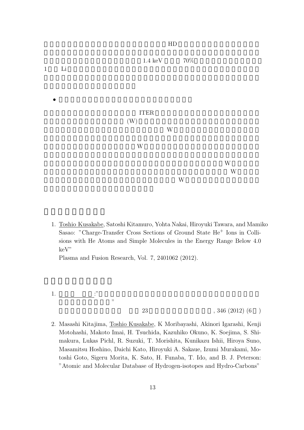

1. Toshio Kusakabe, Satoshi Kitamuro, Yohta Nakai, Hiroyuki Tawara, and Mamiko Sasao: "Charge-Transfer Cross Sections of Ground State He<sup>+</sup> Ions in Collisions with He Atoms and Simple Molecules in the Energy Range Below 4.0 keV"

Plasma and Fusion Research, Vol. 7, 2401062 (2012).

1.  $\frac{1}{\sqrt{2\pi}}$  $\mathcal{D}$ 

 $23$  , 346 (2012) (6 )

2. Masashi Kitajima, Toshio Kusakabe, K Moribayashi, Akinori Igarashi, Kenji Motohashi, Makoto Imai, H. Tsuchida, Kazuhiko Okuno, K. Soejima, S. Shimakura, Lukas Pichl, R. Suzuki, T. Morishita, Kunikazu Ishii, Hiroya Suno, Masamitsu Hoshino, Daichi Kato, Hiroyuki A. Sakaue, Izumi Murakami, Motoshi Goto, Sigeru Morita, K. Sato, H. Funaba, T. Ido, and B. J. Peterson: "Atomic and Molecular Database of Hydrogen-isotopes and Hydro-Carbons"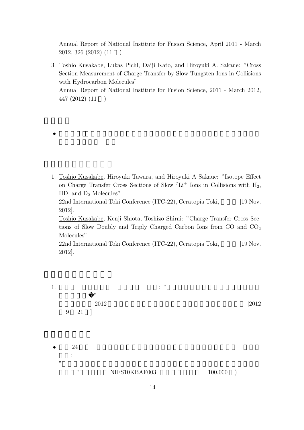Annual Report of National Institute for Fusion Science, April 2011 - March 2012, 326 (2012) (11 )

3. Toshio Kusakabe, Lukas Pichl, Daiji Kato, and Hiroyuki A. Sakaue: "Cross Section Measurement of Charge Transfer by Slow Tungsten Ions in Collisions with Hydrocarbon Molecules" Annual Report of National Institute for Fusion Science, 2011 - March 2012, 447 (2012) (11 )

*•* 卒業論文:「シリコン・フォトダイオードを用いた簡易型ガンマ線検出器に関

1. Toshio Kusakabe, Hiroyuki Tawara, and Hiroyuki A Sakaue: "Isotope Effect on Charge Transfer Cross Sections of Slow  ${}^{7}Li^{+}$  Ions in Collisions with  $H_2$ ,  $HD$ , and  $D_2$  Molecules"

 $22n$ d International Toki Conference (ITC-22), Ceratopia Toki,  $[19 Nov.$ 2012].

Toshio Kusakabe, Kenji Shiota, Toshizo Shirai: "Charge-Transfer Cross Sections of Slow Doubly and Triply Charged Carbon Ions from  $CO$  and  $CO<sub>2</sub>$ Molecules"

 $22n$ d International Toki Conference (ITC-22), Ceratopia Toki,  $[19 \text{ Nov.}$ 2012].

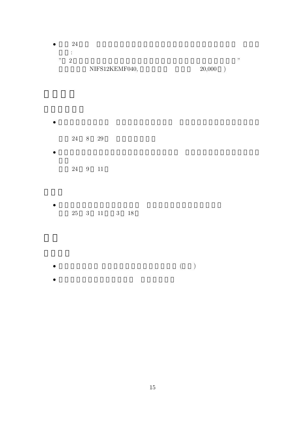| $\bullet$ |                        |                |        |    |  |
|-----------|------------------------|----------------|--------|----|--|
|           | $\bullet$<br>$\bullet$ |                |        |    |  |
| , ,       | ٠,                     |                |        | יי |  |
|           |                        | NIFS12KEMF040, | 20,000 |    |  |

- •<br>• The contract the contract term experiment of the contract term experiment of the contract of the contract te<br>• The contract term experiment of the contract of the contract of the contract of the contract of the contrac
- $24 \t 8 \t 29$ •<br>• The state we have the state we have the state we have the state we have the state we have the state we have
	- 平成 24 9 11
- *•* 「教員採用試験春季集中講座」 専門・理科実験(物理)担当
- $25 \quad 3 \quad 11 \qquad 3 \quad 18$
- $\bullet$  (iii)
- 
- *•* 教員養成カリキュラム委員会 理工学部委員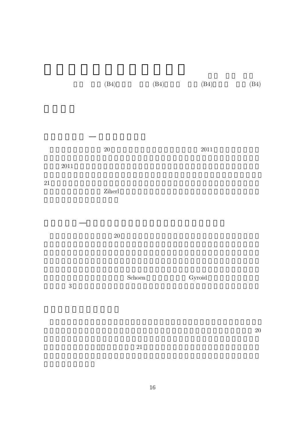(B4)  $(B4)$  (B4)  $(B4)$ 

 $20 \hspace{1.5cm} 2011$ 

Ziherl **Ziherl Aller** 

 $Schoen$  Gyroid Gyroid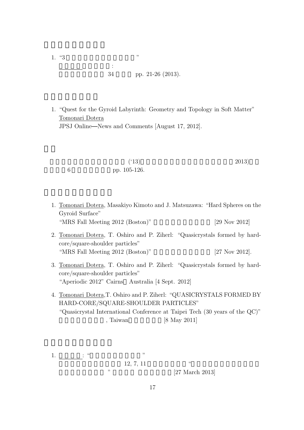- 1.  $"3"$  "  $$ 34 pp. 21-26 (2013).
- 1. "Quest for the Gyroid Labyrinth: Geometry and Topology in Soft Matter" Tomonari Dotera

JPSJ Online News and Comments [August 17, 2012].

| (13)         | 2013) |
|--------------|-------|
| pp. 105-126. |       |

- 1. Tomonari Dotera, Masakiyo Kimoto and J. Matsuzawa: "Hard Spheres on the Gyroid Surface" "MRS Fall Meeting  $2012$  (Boston)" [29 Nov 2012]
- 2. Tomonari Dotera, T. Oshiro and P. Ziherl: "Quasicrystals formed by hardcore/square-shoulder particles" "MRS Fall Meeting  $2012$  (Boston)" [27 Nov 2012].
- 3. Tomonari Dotera, T. Oshiro and P. Ziherl: "Quasicrystals formed by hardcore/square-shoulder particles" "Aperiodic 2012" Cairns Australia [4 Sept. 2012]
- 4. Tomonari Dotera,T. Oshiro and P. Ziherl: "QUASICRYSTALS FORMED BY HARD-CORE/SQUARE-SHOULDER PARTICLES" "Quasicrystal International Conference at Taipei Tech (30 years of the QC)" , Taiwan [8 May 2011]

1.  $\frac{1}{\sqrt{1-\frac{1}{n}}}\frac{a}{n}$  , we have the set of  $\frac{1}{n}$  $12, 7, 11$   $\ldots$ " (27 March 2013)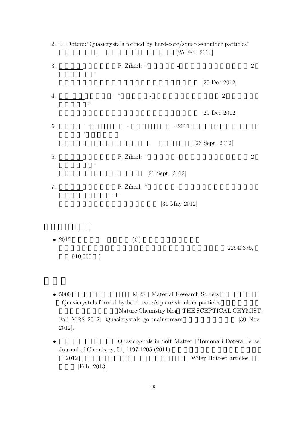| 3. | P. Ziherl: "<br>, ,                | $\overline{2}$ |
|----|------------------------------------|----------------|
|    | $[20 \text{ Dec } 2012]$           |                |
| 4. | $\cdot$ "<br>$\overline{2}$<br>, , |                |
|    | $[20 \text{ Dec } 2012]$           |                |
| 5. | $\cdot$ $\cdot$<br>$-2011$<br>, ,  |                |
|    | [ $26$ Sept. $2012$ ]              |                |
| 6. | P. Ziherl: "<br>, ,                | $\overline{2}$ |
|    | $[20$ Sept. $2012]$                |                |
| 7. | P. Ziherl: "<br>II                 |                |
|    | $[31$ May 2012]                    |                |

2. T. Dotera:"Quasicrystals formed by hard-core/square-shoulder particles"  $[25 \text{ Feb. } 2013]$ 

| $\bullet$ 2012 | $\bigcap$<br>◡ |           |
|----------------|----------------|-----------|
|                |                | 22540375, |
| 910,000        |                |           |

- 5000 **MRS** Material Research Society Quasicrystals formed by hard- core/square-shoulder particles Nature Chemistry blog THE SCEPTICAL CHYMIST; Fall MRS 2012: Quasicrystals go mainstream [30 Nov. 2012].
- Quasicrystals in Soft Matter Tomonari Dotera, Israel Journal of Chemistry,  $51, 1197-1205$   $(2011)$ 2012 **Example 2012** Wiley Hottest articles [Feb. 2013].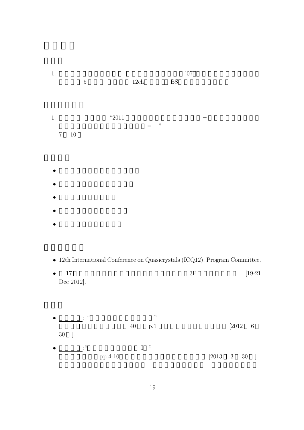| 1. |                |      | '07 |
|----|----------------|------|-----|
|    | $\overline{5}$ | 12ch | BS  |
|    |                |      |     |
|    |                |      |     |
|    |                |      |     |

- 1.  $\frac{42011}{2011}$  $\alpha$
- 7 10
- *•* 専任教員資格選考委員(通期)
- 
- *•* 自己点検・評価委員(前期)
- *•* 就職対策委員(後期)
- *•* 大学院広報委員長(後期)
- *•* 大学院運営委員(後期)
- *•* 12th International Conference on Quasicrystals (ICQ12), Program Committee.
- 17 **17 17 19-21** Dec 2012].
- *•* 堂寺知成: "研究力によるランキング"  $[2012 \t 6]$ 30 ]. • <u>Example 1 in the set of the set of the set of the set of the set of the set of the set of the set of the set of the set of the set of the set of the set of the set of the set of the set of the set of the set of the set </u>  $[2013 \quad 3 \quad 30 \quad ].$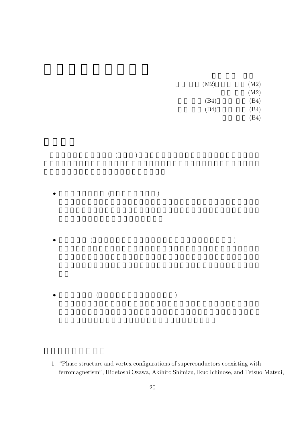| (M2) | (M2) |
|------|------|
|      | (M2) |
| (B4) | (B4) |
| (B4) | (B4) |
|      | (B4) |



1. "Phase structure and vortex configurations of superconductors coexisting with ferromagnetism", Hidetoshi Ozawa, Akihiro Shimizu, Ikuo Ichinose, and Tetsuo Matsui,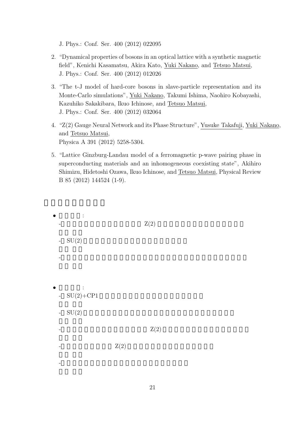J. Phys.: Conf. Ser. 400 (2012) 022095

- 2. "Dynamical properties of bosons in an optical lattice with a synthetic magnetic field", Kenichi Kasamatsu, Akira Kato, Yuki Nakano, and Tetsuo Matsui, J. Phys.: Conf. Ser. 400 (2012) 012026
- 3. "The t-J model of hard-core bosons in slave-particle representation and its Monte-Carlo simulations", Yuki Nakano, Takumi Ishima, Naohiro Kobayashi, Kazuhiko Sakakibara, Ikuo Ichinose, and Tetsuo Matsui, J. Phys.: Conf. Ser. 400 (2012) 032064
- 4. "Z(2) Gauge Neural Network and its Phase Structure", Yusuke Takafuji, Yuki Nakano, and Tetsuo Matsui, Physica A 391 (2012) 5258-5304.
- 5. "Lattice Ginzburg-Landau model of a ferromagnetic p-wave pairing phase in superconducting materials and an inhomogeneous coexisting state", Akihiro Shimizu, Hidetoshi Ozawa, Ikuo Ichinose, and Tetsuo Matsui, Physical Review B 85 (2012) 144524 (1-9).
- *•* 学位論文:  $Z(2)$  $SU(2)$ -「反響項を含むニューラルネットにおける非対称結合強度変数の役割」 *•* 卒業論文:  $SU(2)+CP1$  $-$  SU(2)  $Z(2)$  $Z(2)$ -「マルチカノニカル法によるヒステリシス対策」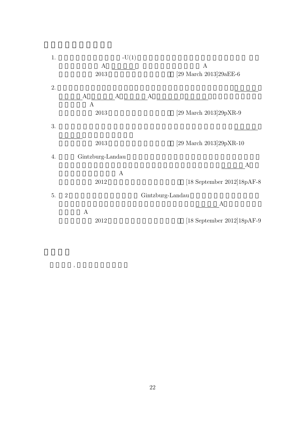

 $\lambda$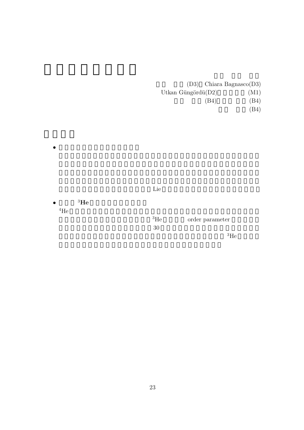(D3) Chiara Bagnasco(D3) Utkan Güngördü $(D2)$  (M1)  $(B4)$   $(B4)$  $(B4)$ 

|                   |             | Lie               |                 |
|-------------------|-------------|-------------------|-----------------|
| ${}^4\mathrm{He}$ | ${}^{3}$ He |                   |                 |
|                   |             | ${}^{3}$ He<br>30 | order parameter |
|                   |             |                   | ${}^{3}$ He     |

*•* 量子計算,量子情報,量子制御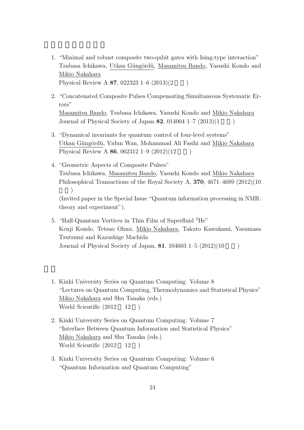- 1. "Minimal and robust composite two-qubit gates with Ising-type interaction" Tsubasa Ichikawa, Utkan Güngördü, Masamitsu Bando, Yasushi Kondo and Mikio Nakahara Physical Review A  $87, 022323$  1–6  $(2013)(2)$
- 2. "Concatenated Composite Pulses Compensating Simultaneous Systematic Errors" Masamitsu Bando, Tsubasa Ichikawa, Yasushi Kondo and Mikio Nakahara
	- Journal of Physical Society of Japan **82**,  $014004$   $1-7$   $(2013)(1)$
- 3. "Dynamical invariants for quantum control of four-level systems" Utkan Güngördü, Yidun Wan, Mohammad Ali Fasihi and Mikio Nakahara Physical Review A  $86, 062312$  1–9  $(2012)(12)$
- 4. "Geometric Aspects of Composite Pulses" Tsubasa Ichikawa, Masamitsu Bando, Yasushi Kondo and Mikio Nakahara Philosophical Transactions of the Royal Society A, **370**, 4671–4689 (2012)(10 ー (Invited paper in the Special Issue "Quantum information processing in NMR:

theory and experiment").

- 5. "Half-Quantum Vortices in Thin Film of Superfluid <sup>3</sup>He" Kenji Kondo, Tetsuo Ohmi, Mikio Nakahara, Takuto Kawakami, Yasumasa Tsutsumi and Kazushige Machida Journal of Physical Society of Japan, **81**, 104603 1–5 (2012)(10)
- 1. Kinki University Series on Quantum Computing: Volume 8 "Lectures on Quantum Computing, Thermodynamics and Statistical Physics" Mikio Nakahara and Shu Tanaka (eds.) World Scientific (2012 12
- 2. Kinki University Series on Quantum Computing: Volume 7 "Interface Between Quantum Information and Statistical Physics" Mikio Nakahara and Shu Tanaka (eds.) World Scientific (2012 12)
- 3. Kinki University Series on Quantum Computing: Volume 6 "Quantum Information and Quantum Computing"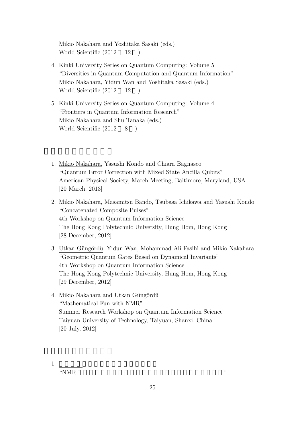Mikio Nakahara and Yoshitaka Sasaki (eds.) World Scientific (2012 12)

- 4. Kinki University Series on Quantum Computing: Volume 5 "Diversities in Quantum Computation and Quantum Information" Mikio Nakahara, Yidun Wan and Yoshitaka Sasaki (eds.) World Scientific (2012 12)
- 5. Kinki University Series on Quantum Computing: Volume 4 "Frontiers in Quantum Information Research" Mikio Nakahara and Shu Tanaka (eds.) World Scientific (2012 8 )
- 1. Mikio Nakahara, Yasushi Kondo and Chiara Bagnasco "Quantum Error Correction with Mixed State Ancilla Qubits" American Physical Society, March Meeting, Baltimore, Maryland, USA [20 March, 2013]
- 2. Mikio Nakahara, Masamitsu Bando, Tsubasa Ichikawa and Yasushi Kondo "Concatenated Composite Pulses" 4th Workshop on Quantum Information Science The Hong Kong Polytechnic University, Hung Hom, Hong Kong [28 December, 2012]
- 3. Utkan Güngördü, Yidun Wan, Mohammad Ali Fasihi and Mikio Nakahara "Geometric Quantum Gates Based on Dynamical Invariants" 4th Workshop on Quantum Information Science The Hong Kong Polytechnic University, Hung Hom, Hong Kong [29 December, 2012]
- 4. Mikio Nakahara and Utkan Güngördü "Mathematical Fun with NMR" Summer Research Workshop on Quantum Information Science Taiyuan University of Technology, Taiyuan, Shanxi, China [20 July, 2012]

1.  $\blacksquare$ 

"NMR"  $\blacksquare$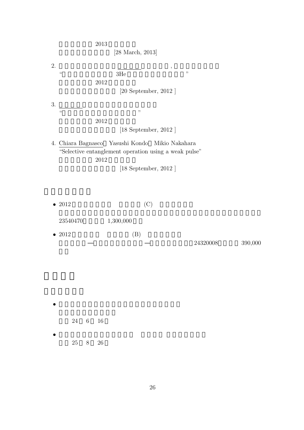2013  $[28 \text{ March}, 2013]$  $2.$  $\therefore$   $3He$   $\therefore$ 2012  $[20$  September, 2012  $]$  $3.$  $\alpha$  and  $\beta$  and  $\beta$  and  $\beta$  and  $\beta$  and  $\beta$  and  $\beta$  and  $\beta$  and  $\beta$  and  $\beta$  and  $\beta$  and  $\beta$  and  $\beta$  and  $\beta$  and  $\beta$  and  $\beta$  and  $\beta$  and  $\beta$  and  $\beta$  and  $\beta$  and  $\beta$  and  $\beta$  and  $\beta$  and  $\beta$  and  $\beta$  2012  $[18$  September, 2012  $]$ 4. Chiara Bagnasco Yasushi Kondo Mikio Nakahara "Selective entanglement operation using a weak pulse" 2012  $[18$  September, 2012 ] • 2012 (C) 23540470 1,300,000 •  $2012$  (B) 計算の哲学―様々な展開に向けて―(研究課題番号:24320008,配分額390,000 •<br>• <u>The Sandar Sandar Sandar Sandar Sandar Sandar Sandar Sandar Sandar Sandar Sandar Sandar Sandar Sandar Sandar</u> 平成 24 6 16 •<br>• <sub>199</sub> / <sub>199</sub> / 199 / 199 / 199 / 199 / 199 / 199 / 199 / 199 / 199 / 199 / 199 / 199 / 199 / 199 / 199 / 199 / 平成 25 8 26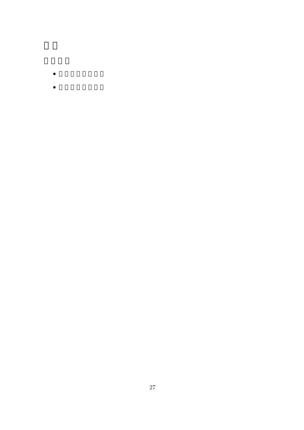- *•* 大学院理学専攻長
- *•* 大学院広報委員長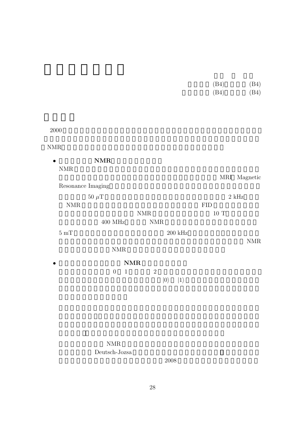| (B4) | (B4) |
|------|------|
| (B4) | (B4) |

 $2000$  $NMR$ *•* 核磁気共鳴(**NMR**)装置の開発と応用  $NMR$ MRI Magnetic Resonance Imaging  $50 \mu$ T  $2 \text{ kHz}$  $NMR$  FID  $NMR$  and  $10$  T  $400$  MHz NMR  $5 \text{ mT}$  and  $200 \text{ kHz}$  $NMR$ NMR <sub>20</sub> • **A** NMR  $0 \quad 1 \quad 2$  $|0\rangle$  **|1** $\rangle$ 

NMR  $\mathbb{N}$  ${\rm Deutsch\text{-}Jozsa}$ 

 $2008$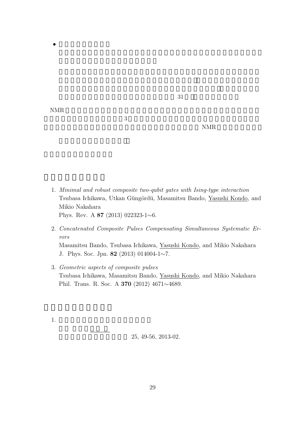$NMR$ 

*•* 学生実験装置の開発

 $31$ 

 $3$ 

 $NMR$ 

- 1. *Minimal and robust composite two-qubit gates with Ising-type interaction* Tsubasa Ichikawa, Utkan Güngördü, Masamitsu Bando, Yasushi Kondo, and Mikio Nakahara Phys. Rev. A **87** (2013) 022323-1*∼*6.
- 2. *Concatenated Composite Pulses Compensating Simultaneous Systematic Errors*

Masamitsu Bando, Tsubasa Ichikawa, Yasushi Kondo, and Mikio Nakahara J. Phys. Soc. Jpn. **82** (2013) 014004-1*∼*7.

3. *Geometric aspects of composite pulses* Tsubasa Ichikawa, Masamitsu Bando, Yasushi Kondo, and Mikio Nakahara Phil. Trans. R. Soc. A **370** (2012) 4671*∼*4689.

 $1.$ 

木口 勝義、近藤 康

25, 49-56, 2013-02.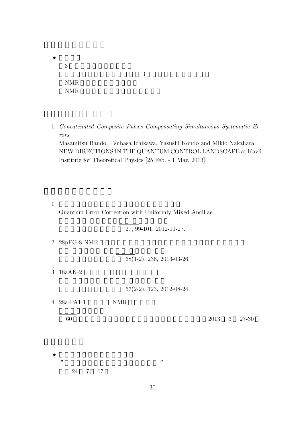*•* 卒業論文:  $3 \overline{\phantom{a}}$  $3$ NMR NMR

1. *Concatenated Composite Pulses Compensating Simultaneous Systematic Errors* Masamitsu Bando, Tsubasa Ichikawa, Yasushi Kondo and Mikio Nakahara

NEW DIRECTIONS IN THE QUANTUM CONTROL LANDSCAPE at Kavli Institute for Theoretical Physics [25 Feb. - 1 Mar. 2013]

 $1.$ 

Quantum Error Correction with Uniformly Mixed Ancillae

坂東 将光、市川 翼、近藤 康、中原 幹夫

量子情報技術研究会資料 27, 99-101, 2012-11-27.

2. 28pEG-8 NMR

 $68(1-2), 236, 2013-03-26.$ 

3. 18aAK-2

 $67(2-2), 123, 2012-08-24.$ 

4. 28a-PA1-1 NMR

60 回応用物理学会春季学術講演会(神奈川工科大学)2013 3 27-30

• <sub>•</sub>  $\lambda$ <sub>2</sub>  $\lambda$ <sub>2</sub>  $\lambda$ <sub>2</sub>  $\lambda$ <sub>2</sub>  $\lambda$ <sub>2</sub>  $\lambda$ <sub>2</sub>  $\lambda$ <sub>2</sub>  $\lambda$ <sub>2</sub>  $\lambda$ <sub>2</sub>  $\lambda$ <sub>2</sub>  $\lambda$ <sub>2</sub>  $\lambda$ <sub>2</sub>  $\lambda$ <sub>2</sub>  $\lambda$ <sub>2</sub>  $\lambda$ <sub>2</sub>  $\lambda$ <sub>2</sub>  $\lambda$ <sub>2</sub>  $\lambda$ <sub>2</sub>  $\lambda$ <sub>2</sub>  $\lambda$ <sub>2</sub>  $\lambda$ <sub>2</sub>  $\lambda$ <sub>2</sub>  $\lambda$ <sub>2</sub>  $\lambda$ <sub>2</sub>  $\lambda$ <sub>2</sub>  $\lambda$ <sub>2</sub>  $\lambda$ <sub>2</sub>  $\mathcal{O}$  ,  $\mathcal{O}$  , and  $\mathcal{O}$  is the mass of the mass of the mass of the mass of the mass of the mass of the mass of the mass of the mass of the mass of the mass of the mass of the mass of the mass of the mass of the

平成 24 7 17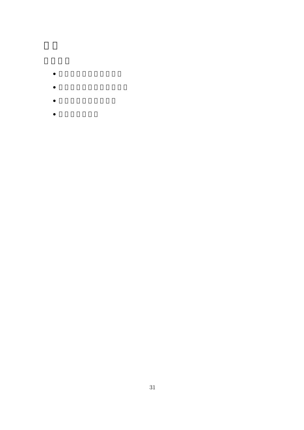- *•* オープンキャンパス委員
- *•* 物理教育改善小委員会委員
- *•* 教育改善小委員会委員
- *•* 人事委員会委員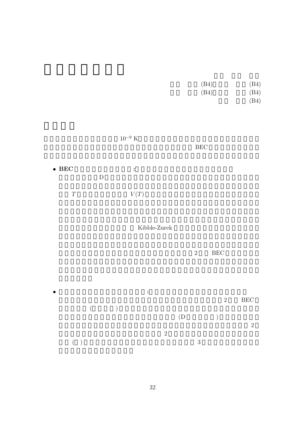| (B4) | (B4) |
|------|------|
| (B4) | (B4) |
|      | (B4) |







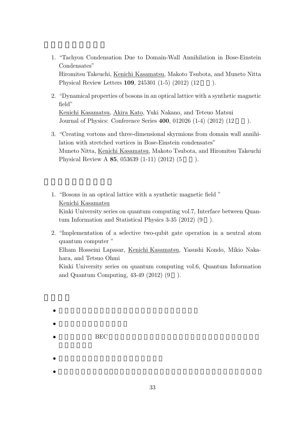- 1. "Tachyon Condensation Due to Domain-Wall Annihilation in Bose-Einstein Condensates" Hiromitsu Takeuchi, Kenichi Kasamatsu, Makoto Tsubota, and Muneto Nitta Physical Review Letters **109**, 245301 (1-5) (2012) (12 ).
- 2. "Dynamical properties of bosons in an optical lattice with a synthetic magnetic field"

Kenichi Kasamatsu, Akira Kato, Yuki Nakano, and Teteuo Matsui Journal of Physics: Conference Series **400**, 012026 (1-4) (2012) (12 ).

- 3. "Creating vortons and three-dimensional skyrmions from domain wall annihilation with stretched vortices in Bose-Einstein condensates" Muneto Nitta, Kenichi Kasamatsu, Makoto Tsubota, and Hiromitsu Takeuchi Physical Review A **85**, 053639 (1-11) (2012) (5).
- 1. "Bosons in an optical lattice with a synthetic magnetic field " Kenichi Kasamatsu Kinki University series on quantum computing vol.7, Interface between Quan-

tum Information and Statistical Physics 3-35 (2012) (9 ).

2. "Implementation of a selective two-qubit gate operation in a neutral atom quantum computer " Elham Hosseini Lapasar, Kenichi Kasamatsu, Yasushi Kondo, Mikio Nakahara, and Tetsuo Ohmi Kinki University series on quantum computing vol.6, Quantum Information

and Quantum Computing, 43-49 (2012) (9 ).

- **•** The contract of the contract of the contract of the contract of the contract of the contract of the contract of the contract of the contract of the contract of the contract of the contract of the contract of the cont
- **•** The contract  $\mathbf{R}$
- *•* 「光格子中の BEC のサイト間の相互作用を考慮した密度波の周期構造の安定
- 
- **•** The  $\mathbf{P} = \mathbf{P} \cdot \mathbf{P}$
- •<br>• The first and the first and the first and the first and the first and the first and the first and the first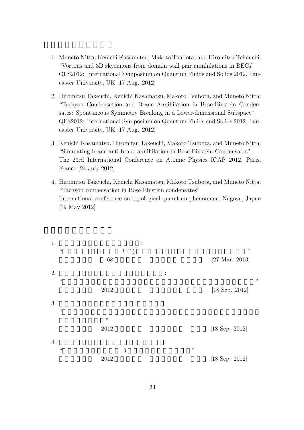- 1. Muneto Nitta, Kenichi Kasamatsu, Makoto Tsubota, and Hiromitsu Takeuchi: "Vortons and 3D skyrmions from domain wall pair annihilations in BECs" QFS2012: International Symposium on Quantum Fluids and Solids 2012, Lancaster University, UK [17 Aug. 2012]
- 2. Hiromitsu Takeuchi, Kenichi Kasamatsu, Makoto Tsubota, and Muneto Nitta: "Tachyon Condensation and Brane Annihilation in Bose-Einstein Condensates: Spontaneous Symmetry Breaking in a Lower-dimensional Subspace" QFS2012: International Symposium on Quantum Fluids and Solids 2012, Lancaster University, UK [17 Aug. 2012]
- 3. Kenichi Kasamatsu, Hiromitsu Takeuchi, Makoto Tsubota, and Muneto Nitta: "Simulating brane-anti-brane annihilation in Bose-Einstein Condensates" The 23rd International Conference on Atomic Physics ICAP 2012, Paris, France [24 July 2012]
- 4. Hiromitsu Takeuchi, Kenichi Kasamatsu, Makoto Tsubota, and Muneto Nitta: "Tachyon condensation in Bose-Einstein condensates" International conference on topological quamtum phenomena, Nagoya, Japan [19 May 2012]

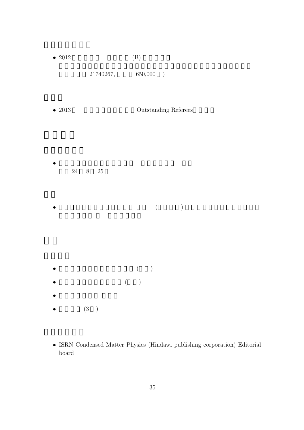- $2012$  (B)  $\qquad \qquad$ :  $(21740267, 650,000)$
- 2013 **•** 2013 **Outstanding Referees**

- •<br>• <sub>200</sub> to the state the state three states and the state three states and the state of the state of the state of the state of the state of the state of the state of the state of the state of the state of the state of th 平成 24 8 25
- *•* 「ファンダメンタル物理学」 力学 (共立出版) 笠松健一、新居毅人、中野人

- $\bullet$  ( )
- *•* 理工学部教務委員会委員 (後期)
- *•* 物理学習支援室 世話人
- (3 )
- *•* ISRN Condensed Matter Physics (Hindawi publishing corporation) Editorial board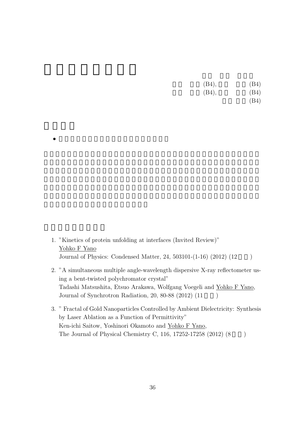| (B4), | (B4) |
|-------|------|
| (B4), | (B4) |
|       | (B4) |

1. "Kinetics of protein unfolding at interfaces (Invited Review)" Yohko F Yano Journal of Physics: Condensed Matter, 24, 503101-(1-16) (2012) (12 )

*•* タンパク質の界面吸着ダイナミクスの観測

- 2. "A simultaneous multiple angle-wavelength dispersive X-ray reflectometer using a bent-twisted polychromator crystal" Tadashi Matsushita, Etsuo Arakawa, Wolfgang Voegeli and Yohko F Yano, Journal of Synchrotron Radiation,  $20$ ,  $80-88$   $(2012)$   $(11)$
- 3. " Fractal of Gold Nanoparticles Controlled by Ambient Dielectricity: Synthesis by Laser Ablation as a Function of Permittivity" Ken-ichi Saitow, Yoshinori Okamoto and Yohko F Yano, The Journal of Physical Chemistry C, 116, 17252-17258 (2012) (8 )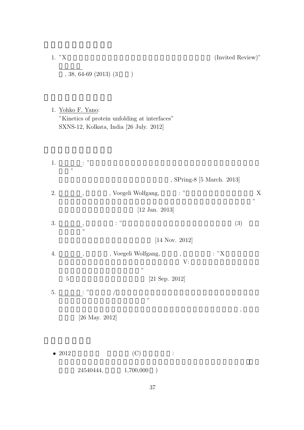1. "X  $(\text{Invited Review})$ "

 $, 38, 64-69 (2013) (3)$ 

1. Yohko F. Yano: "Kinetics of protein unfolding at interfaces" SXNS-12, Kolkata, India [26 July. 2012]

1.  $\cdots$   $\cdots$ 演)" , SPring-8 [5 March. 2013] 2.  $\_\_\_\_\_\,,$  , Voegeli Wolfgang,  $\_\_\_\$  "  $\_\_\_N$  $\mathcal{O}(\frac{1}{2})$  $[12 \text{ Jan. } 2013]$ 3.  $\qquad \qquad ; \qquad \qquad : "$  $\mathfrak{D}$  $[14 \text{ Nov. } 2012]$ 4.  $\blacksquare$ ,  $\blacksquare$ ,  $\blacksquare$ ,  $\blacksquare$   $\blacksquare$   $\blacksquare$  $V:$  $\alpha$ 5 回分子科学討論会、東京大学 [21 Sep. 2012] 5.  $\frac{1}{2}$  " $\frac{1}{2}$  " $\frac{1}{2}$  " $\frac{1}{2}$  " $\frac{1}{2}$  " $\frac{1}{2}$  " $\frac{1}{2}$  " $\frac{1}{2}$  " $\frac{1}{2}$  " $\frac{1}{2}$  " $\frac{1}{2}$  " $\frac{1}{2}$  " $\frac{1}{2}$  " $\frac{1}{2}$  " $\frac{1}{2}$  " $\frac{1}{2}$  " $\frac{1}{2}$  " $\frac{1}{2}$  " $\frac{1}{2}$  " $\frac{1}{2}$  $\overline{\phantom{a}}$  $\,$  $[26$  May.  $2012]$ •  $2012$  (C)  $\qquad \qquad :$  $24540444, \t1,700,000 \t)$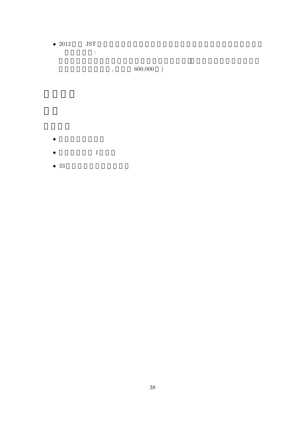•  $2012$  **JST** 

研究分担者:

 $, \qquad \quad \ \ 600,\!000 \quad \ )$ 

- *•* 安全管理衛生委員
- 1
- 33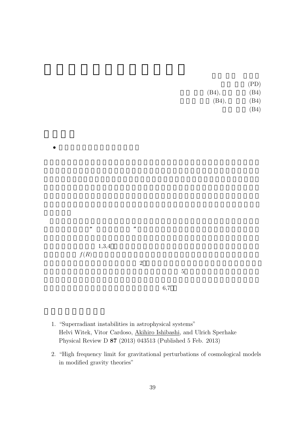|       | (PD) |
|-------|------|
| (B4), | (B4) |
| (B4), | (B4) |
|       | (B4) |



*•* 高次元ブラックホールの諸性質

- 1. "Superradiant instabilities in astrophysical systems" Helvi Witek, Vitor Cardoso, Akihiro Ishibashi, and Ulrich Sperhake Physical Review D **87** (2013) 043513 (Published 5 Feb. 2013)
- 2. "High frequency limit for gravitational perturbations of cosmological models in modified gravity theories"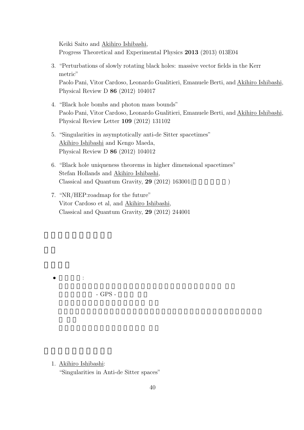Keiki Saito and Akihiro Ishibashi, Progress Theoretical and Experimental Physics **2013** (2013) 013E04

3. "Perturbations of slowly rotating black holes: massive vector fields in the Kerr metric" Paolo Pani, Vitor Cardoso, Leonardo Gualitieri, Emanuele Berti, and Akihiro Ishibashi,

Physical Review D **86** (2012) 104017 4. "Black hole bombs and photon mass bounds"

- Paolo Pani, Vitor Cardoso, Leonardo Gualitieri, Emanuele Berti, and Akihiro Ishibashi, Physical Review Letter **109** (2012) 131102
- 5. "Singularities in asymptotically anti-de Sitter spacetimes" Akihiro Ishibashi and Kengo Maeda, Physical Review D **86** (2012) 104012
- 6. "Black hole uniqueness theorems in higher dimensional spacetimes" Stefan Hollands and Akihiro Ishibashi,  $\text{Classical and Quantum Gravity, } 29 \ (2012) \ 163001 \ (1211)$
- 7. "NR/HEP:roadmap for the future" Vitor Cardoso et al, and Akihiro Ishibashi, Classical and Quantum Gravity, **29** (2012) 244001

- GPS -

1. Akihiro Ishibashi:

*•* 学士論文:

"Singularities in Anti-de Sitter spaces"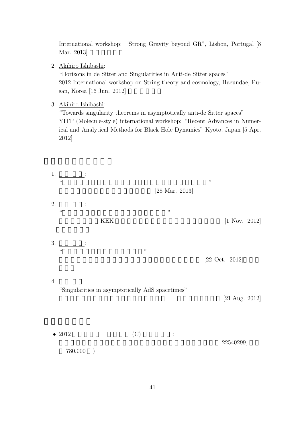International workshop: "Strong Gravity beyond GR", Lisbon, Portugal [8 Mar. 2013]

2. Akihiro Ishibashi:

"Horizons in de Sitter and Singularities in Anti-de Sitter spaces" 2012 International workshop on String theory and cosmology, Haeundae, Pusan, Korea [16 Jun. 2012]

3. Akihiro Ishibashi:

"Towards singularity theorems in asymptotically anti-de Sitter spaces" YITP (Molecule-style) international workshop: "Recent Advances in Numerical and Analytical Methods for Black Hole Dynamics" Kyoto, Japan [5 Apr. 2012]

| $\zeta\,\zeta$            |                           | , ,                                              |
|---------------------------|---------------------------|--------------------------------------------------|
|                           | $[28 \text{ Mar. } 2013]$ |                                                  |
| $\zeta\,\zeta$            | $, ,$                     |                                                  |
|                           |                           | $[1 \text{ Nov. } 2012]$                         |
| $\zeta\,\zeta$            | $, \,$                    | $[22 \text{ Oct. } 2012]$                        |
|                           |                           | $[21 \text{ Aug. } 2012]$                        |
| $\bullet$ 2012<br>780,000 | (C)<br>$\ddot{\cdot}$     | 22540299,                                        |
|                           | $\operatorname{KEK}$      | "Singularities in asymptotically AdS spacetimes" |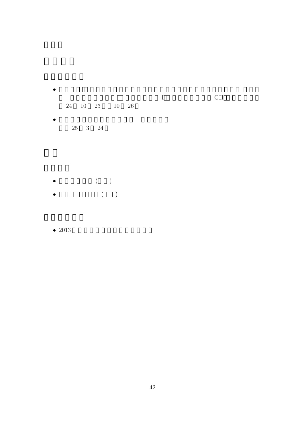- *•* 出張授業:「ブラックホール時空」東北大学大学院理学研究科数学教室 集中講  $$\rm \, I$$   $$\rm \, GII$$   $$\rm \, S\,$  $24 \qquad 10 \qquad 23 \qquad \qquad 10$
- *•* 近畿大学オープンキャンパス 研究室開放 平成 25 3 24
- ( )
- (iii)
- 2013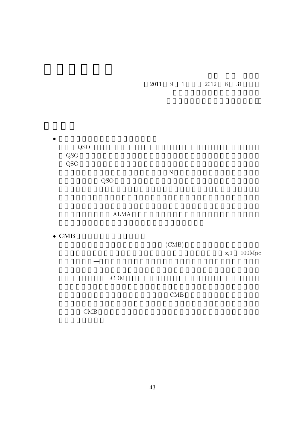$2011 \quad 9 \quad 1 \qquad \quad 2012 \quad 8 \quad 31$ 

•<br>• <sub>•</sub>  $QSO$  $QSO$  $QSO$  $N$ QSO レンズ

ALMA <sub>2</sub>

•  $CMB$  $(CMB)$  $zj1$  100Mpc

い違う可能性があることを示唆している。CMB の偏極揺らぎを用いて、最終

CMB states contract the contract of  $\mathbb{R}$ 

LCDM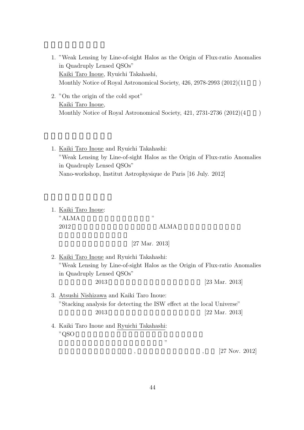- 1. "Weak Lensing by Line-of-sight Halos as the Origin of Flux-ratio Anomalies in Quadruply Lensed QSOs" Kaiki Taro Inoue, Ryuichi Takahashi, Monthly Notice of Royal Astronomical Society,  $426, 2978-2993$   $(2012)(11)$
- 2. "On the origin of the cold spot" Kaiki Taro Inoue, Monthly Notice of Royal Astronomical Society,  $421, 2731-2736$   $(2012)(4)$
- 1. Kaiki Taro Inoue and Ryuichi Takahashi: "Weak Lensing by Line-of-sight Halos as the Origin of Flux-ratio Anomalies in Quadruply Lensed QSOs" Nano-workshop, Institut Astrophysique de Paris [16 July. 2012]
- 1. Kaiki Taro Inoue:  $"ALMA"$  $2012$   $\rm ALMA$

 $\overline{\phantom{a}}$ 

## $[27 \text{ Mar. } 2013]$

2. Kaiki Taro Inoue and Ryuichi Takahashi: "Weak Lensing by Line-of-sight Halos as the Origin of Flux-ratio Anomalies in Quadruply Lensed QSOs" 2013 [23 Mar. 2013] 3. Atsushi Nishizawa and Kaiki Taro Inoue: "Stacking analysis for detecting the ISW effect at the local Universe" 2013 [22 Mar. 2013] 4. Kaiki Taro Inoue and Ryuichi Takahashi:  $"QSO$ 

,  $[27 \text{ Nov. } 2012]$